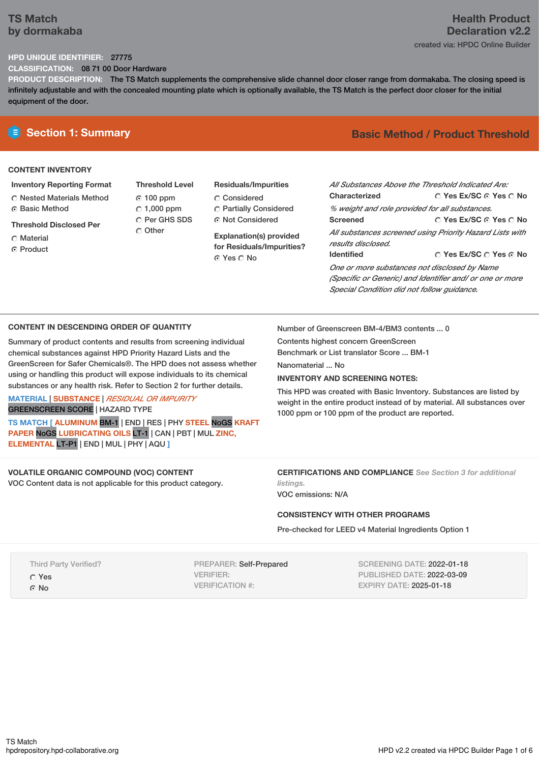## **TS Match by dormakaba**

# **Health Product Declaration v2.2** created via: HPDC Online Builder

## **HPD UNIQUE IDENTIFIER:** 27775

**CLASSIFICATION:** 08 71 00 Door Hardware

**PRODUCT DESCRIPTION:** The TS Match supplements the comprehensive slide channel door closer range from dormakaba. The closing speed is infinitely adjustable and with the concealed mounting plate which is optionally available, the TS Match is the perfect door closer for the initial equipment of the door.

## **CONTENT INVENTORY**

## **Inventory Reporting Format**

Nested Materials Method **C** Basic Method

**Threshold Disclosed Per**

- Material
- ⊙ Product
- **Threshold Level** 100 ppm  $C$  1,000 ppm C Per GHS SDS Other
- **Residuals/Impurities** Considered Partially Considered Not Considered

**Explanation(s) provided for Residuals/Impurities?** © Yes ∩ No

# **E** Section 1: Summary **Basic Method / Product Threshold**

| All Substances Above the Threshold Indicated Are:<br>Characterized | ∩ Yes Ex/SC ∩ Yes ∩ No                 |  |  |  |  |
|--------------------------------------------------------------------|----------------------------------------|--|--|--|--|
| % weight and role provided for all substances.                     |                                        |  |  |  |  |
| <b>Screened</b>                                                    | ○ Yes Ex/SC ⊙ Yes ○ No                 |  |  |  |  |
| All substances screened using Priority Hazard Lists with           |                                        |  |  |  |  |
| results disclosed.                                                 |                                        |  |  |  |  |
| <b>Identified</b>                                                  | $\cap$ Yes Ex/SC $\cap$ Yes $\odot$ No |  |  |  |  |
| One or more substances not disclosed by Name                       |                                        |  |  |  |  |
| (Specific or Generic) and Identifier and/ or one or more           |                                        |  |  |  |  |
| Special Condition did not follow quidance.                         |                                        |  |  |  |  |

### **CONTENT IN DESCENDING ORDER OF QUANTITY**

Summary of product contents and results from screening individual chemical substances against HPD Priority Hazard Lists and the GreenScreen for Safer Chemicals®. The HPD does not assess whether using or handling this product will expose individuals to its chemical substances or any health risk. Refer to Section 2 for further details.

# **MATERIAL** | **SUBSTANCE** | *RESIDUAL OR IMPURITY*

GREENSCREEN SCORE | HAZARD TYPE

**TS MATCH [ ALUMINUM** BM-1 | END | RES | PHY **STEEL** NoGS **KRAFT PAPER** NoGS **LUBRICATING OILS** LT-1 | CAN | PBT | MUL **ZINC, ELEMENTAL** LT-P1 | END | MUL | PHY | AQU **]**

# **VOLATILE ORGANIC COMPOUND (VOC) CONTENT**

VOC Content data is not applicable for this product category.

Number of Greenscreen BM-4/BM3 contents ... 0

Contents highest concern GreenScreen Benchmark or List translator Score ... BM-1

Nanomaterial ... No

### **INVENTORY AND SCREENING NOTES:**

This HPD was created with Basic Inventory. Substances are listed by weight in the entire product instead of by material. All substances over 1000 ppm or 100 ppm of the product are reported.

#### **CERTIFICATIONS AND COMPLIANCE** *See Section 3 for additional listings.*

VOC emissions: N/A

### **CONSISTENCY WITH OTHER PROGRAMS**

Pre-checked for LEED v4 Material Ingredients Option 1

Third Party Verified?

Yes

© No

PREPARER: Self-Prepared VERIFIER: VERIFICATION #:

SCREENING DATE: 2022-01-18 PUBLISHED DATE: 2022-03-09 EXPIRY DATE: 2025-01-18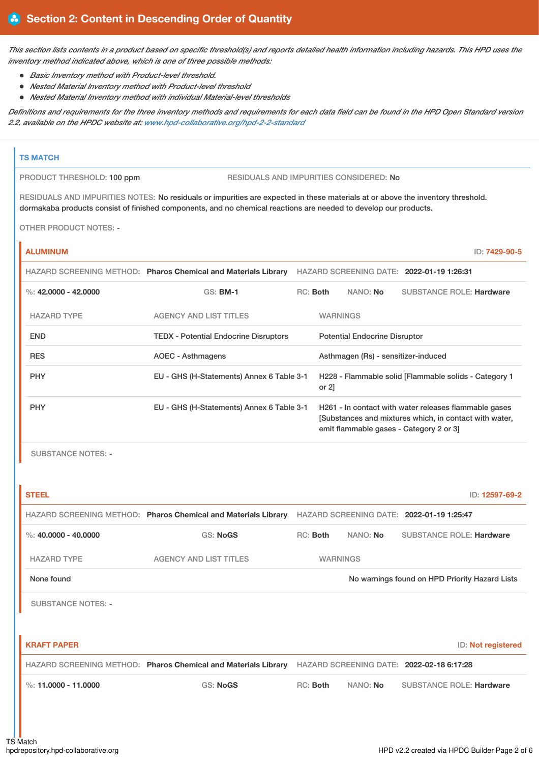This section lists contents in a product based on specific threshold(s) and reports detailed health information including hazards. This HPD uses the *inventory method indicated above, which is one of three possible methods:*

- *Basic Inventory method with Product-level threshold.*
- *Nested Material Inventory method with Product-level threshold*
- *Nested Material Inventory method with individual Material-level thresholds*

Definitions and requirements for the three inventory methods and requirements for each data field can be found in the HPD Open Standard version *2.2, available on the HPDC website at: [www.hpd-collaborative.org/hpd-2-2-standard](https://www.hpd-collaborative.org/hpd-2-2-standard)*

### **TS MATCH**

Ī

PRODUCT THRESHOLD: 100 ppm RESIDUALS AND IMPURITIES CONSIDERED: No

RESIDUALS AND IMPURITIES NOTES: No residuals or impurities are expected in these materials at or above the inventory threshold. dormakaba products consist of finished components, and no chemical reactions are needed to develop our products.

OTHER PRODUCT NOTES: -

| <b>ALUMINUM</b>        |                                                                |          |                 |                                      |                                                                                                                                                           | ID: 7429-90-5 |
|------------------------|----------------------------------------------------------------|----------|-----------------|--------------------------------------|-----------------------------------------------------------------------------------------------------------------------------------------------------------|---------------|
|                        | HAZARD SCREENING METHOD: Pharos Chemical and Materials Library |          |                 |                                      | HAZARD SCREENING DATE: 2022-01-19 1:26:31                                                                                                                 |               |
| %: $42,0000 - 42,0000$ | <b>GS: BM-1</b>                                                | RC: Both |                 | NANO: No                             | <b>SUBSTANCE ROLE: Hardware</b>                                                                                                                           |               |
| <b>HAZARD TYPE</b>     | <b>AGENCY AND LIST TITLES</b>                                  |          | <b>WARNINGS</b> |                                      |                                                                                                                                                           |               |
| <b>END</b>             | <b>TEDX - Potential Endocrine Disruptors</b>                   |          |                 | <b>Potential Endocrine Disruptor</b> |                                                                                                                                                           |               |
| <b>RES</b>             | AOEC - Asthmagens                                              |          |                 | Asthmagen (Rs) - sensitizer-induced  |                                                                                                                                                           |               |
| <b>PHY</b>             | EU - GHS (H-Statements) Annex 6 Table 3-1                      |          | or $2$ ]        |                                      | H228 - Flammable solid [Flammable solids - Category 1                                                                                                     |               |
| <b>PHY</b>             | EU - GHS (H-Statements) Annex 6 Table 3-1                      |          |                 |                                      | H261 - In contact with water releases flammable gases<br>[Substances and mixtures which, in contact with water,<br>emit flammable gases - Category 2 or 3 |               |

SUBSTANCE NOTES: -

| <b>STEEL</b>              |                                                                |                 |          | ID: 12597-69-2                                 |
|---------------------------|----------------------------------------------------------------|-----------------|----------|------------------------------------------------|
|                           | HAZARD SCREENING METHOD: Pharos Chemical and Materials Library |                 |          | HAZARD SCREENING DATE: 2022-01-19 1:25:47      |
| %: $40,0000 - 40,0000$    | <b>GS: NoGS</b>                                                | RC: Both        | NANO: No | <b>SUBSTANCE ROLE: Hardware</b>                |
| <b>HAZARD TYPE</b>        | <b>AGENCY AND LIST TITLES</b>                                  | <b>WARNINGS</b> |          |                                                |
| None found                |                                                                |                 |          | No warnings found on HPD Priority Hazard Lists |
| <b>SUBSTANCE NOTES: -</b> |                                                                |                 |          |                                                |
|                           |                                                                |                 |          |                                                |
| <b>KRAFT PAPER</b>        |                                                                |                 |          | ID: Not registered                             |
|                           | HAZARD SCREENING METHOD: Pharos Chemical and Materials Library |                 |          | HAZARD SCREENING DATE: 2022-02-18 6:17:28      |
| %: 11.0000 - 11.0000      | <b>GS: NoGS</b>                                                | RC: Both        | NANO: No | <b>SUBSTANCE ROLE: Hardware</b>                |
|                           |                                                                |                 |          |                                                |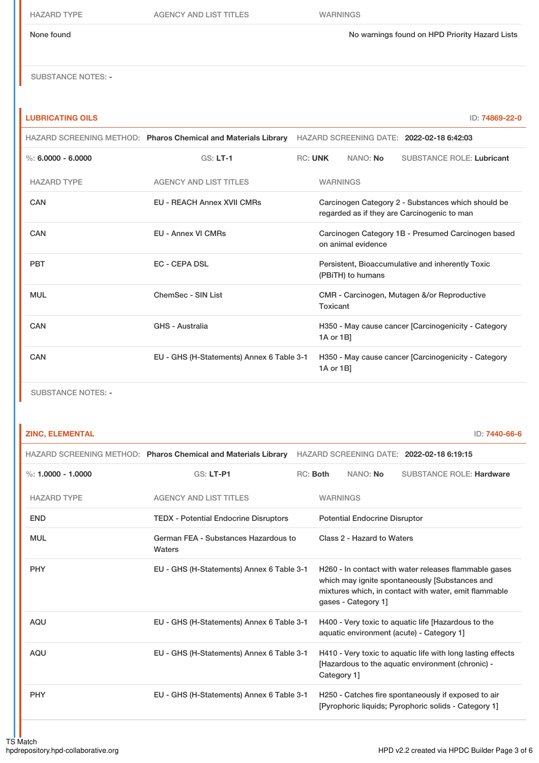HAZARD TYPE AGENCY AND LIST TITLES WARNINGS

None found No warnings found on HPD Priority Hazard Lists

SUBSTANCE NOTES: -

## **LUBRICATING OILS** ID: **74869-22-0**

|                      |                                           | HAZARD SCREENING METHOD: Pharos Chemical and Materials Library HAZARD SCREENING DATE: 2022-02-18 6:42:03 |                 |                    |                                                                                                   |
|----------------------|-------------------------------------------|----------------------------------------------------------------------------------------------------------|-----------------|--------------------|---------------------------------------------------------------------------------------------------|
| %: $6.0000 - 6.0000$ | $GS: LT-1$                                | <b>RC: UNK</b>                                                                                           |                 | NANO: No           | <b>SUBSTANCE ROLE: Lubricant</b>                                                                  |
| <b>HAZARD TYPE</b>   | <b>AGENCY AND LIST TITLES</b>             |                                                                                                          | <b>WARNINGS</b> |                    |                                                                                                   |
| <b>CAN</b>           | <b>EU - REACH Annex XVII CMRs</b>         |                                                                                                          |                 |                    | Carcinogen Category 2 - Substances which should be<br>regarded as if they are Carcinogenic to man |
| <b>CAN</b>           | <b>EU - Annex VI CMRs</b>                 |                                                                                                          |                 | on animal evidence | Carcinogen Category 1B - Presumed Carcinogen based                                                |
| <b>PBT</b>           | <b>EC - CEPA DSL</b>                      |                                                                                                          |                 | (PBITH) to humans  | Persistent, Bioaccumulative and inherently Toxic                                                  |
| <b>MUL</b>           | ChemSec - SIN List                        |                                                                                                          | Toxicant        |                    | CMR - Carcinogen, Mutagen &/or Reproductive                                                       |
| <b>CAN</b>           | GHS - Australia                           |                                                                                                          | 1A or 1B]       |                    | H350 - May cause cancer [Carcinogenicity - Category                                               |
| CAN                  | EU - GHS (H-Statements) Annex 6 Table 3-1 |                                                                                                          | 1A or 1B]       |                    | H350 - May cause cancer [Carcinogenicity - Category                                               |
|                      |                                           |                                                                                                          |                 |                    |                                                                                                   |

SUBSTANCE NOTES: -

## **ZINC, ELEMENTAL** ID: **7440-66-6**

|                      | HAZARD SCREENING METHOD: Pharos Chemical and Materials Library |          |                 |                                      | HAZARD SCREENING DATE: 2022-02-18 6:19:15                                                                                                                        |
|----------------------|----------------------------------------------------------------|----------|-----------------|--------------------------------------|------------------------------------------------------------------------------------------------------------------------------------------------------------------|
| %: $1.0000 - 1.0000$ | <b>GS: LT-P1</b>                                               | RC: Both |                 | NANO: No                             | <b>SUBSTANCE ROLE: Hardware</b>                                                                                                                                  |
| <b>HAZARD TYPE</b>   | <b>AGENCY AND LIST TITLES</b>                                  |          | <b>WARNINGS</b> |                                      |                                                                                                                                                                  |
| <b>END</b>           | <b>TEDX</b> - Potential Endocrine Disruptors                   |          |                 | <b>Potential Endocrine Disruptor</b> |                                                                                                                                                                  |
| <b>MUL</b>           | German FEA - Substances Hazardous to<br>Waters                 |          |                 | Class 2 - Hazard to Waters           |                                                                                                                                                                  |
| <b>PHY</b>           | EU - GHS (H-Statements) Annex 6 Table 3-1                      |          |                 | qases - Category 1]                  | H260 - In contact with water releases flammable gases<br>which may ignite spontaneously [Substances and<br>mixtures which, in contact with water, emit flammable |
| <b>AQU</b>           | EU - GHS (H-Statements) Annex 6 Table 3-1                      |          |                 |                                      | H400 - Very toxic to aquatic life [Hazardous to the<br>aquatic environment (acute) - Category 1]                                                                 |
| <b>AQU</b>           | EU - GHS (H-Statements) Annex 6 Table 3-1                      |          | Category 1]     |                                      | H410 - Very toxic to aquatic life with long lasting effects<br>[Hazardous to the aquatic environment (chronic) -                                                 |
| <b>PHY</b>           | EU - GHS (H-Statements) Annex 6 Table 3-1                      |          |                 |                                      | H250 - Catches fire spontaneously if exposed to air<br>[Pyrophoric liquids: Pyrophoric solids - Category 1]                                                      |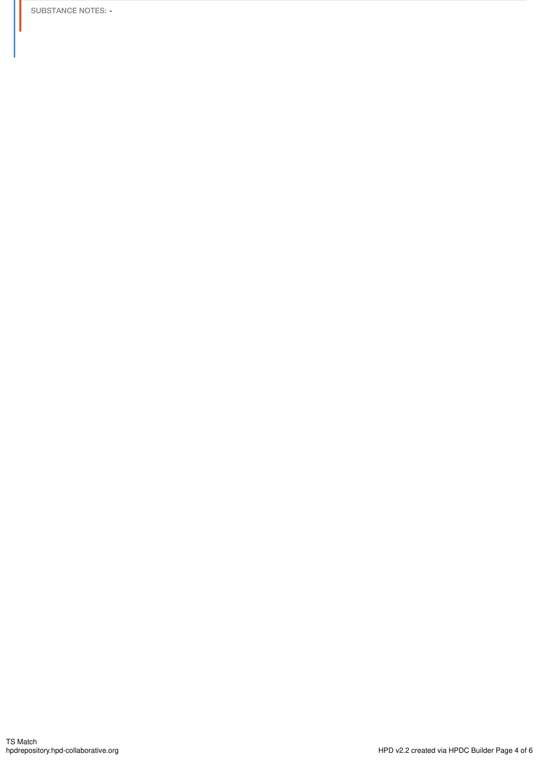SUBSTANCE NOTES: -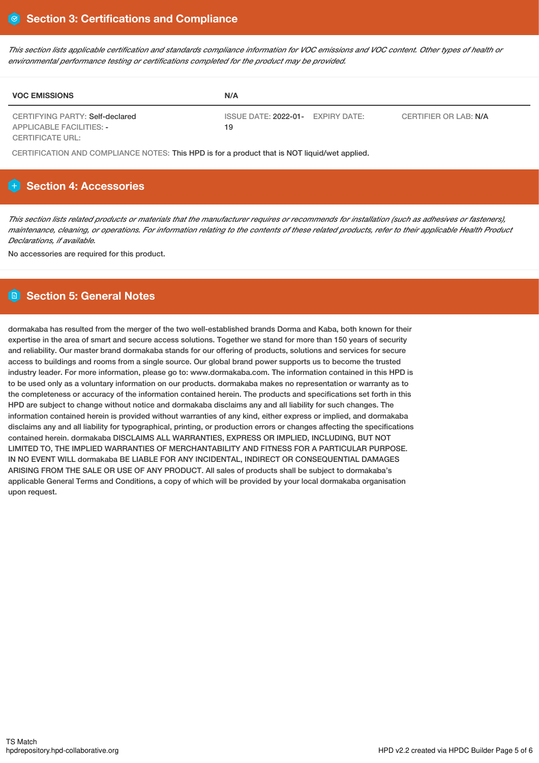This section lists applicable certification and standards compliance information for VOC emissions and VOC content. Other types of health or *environmental performance testing or certifications completed for the product may be provided.*

| <b>VOC EMISSIONS</b>                                               | N/A                                                              |  |
|--------------------------------------------------------------------|------------------------------------------------------------------|--|
| CERTIFYING PARTY: Self-declared<br><b>APPLICABLE FACILITIES: -</b> | ISSUE DATE: 2022-01- EXPIRY DATE:<br>CERTIFIER OR LAB: N/A<br>19 |  |
| CERTIFICATE URL:                                                   |                                                                  |  |

CERTIFICATION AND COMPLIANCE NOTES: This HPD is for a product that is NOT liquid/wet applied.

# **H** Section 4: Accessories

This section lists related products or materials that the manufacturer requires or recommends for installation (such as adhesives or fasteners), maintenance, cleaning, or operations. For information relating to the contents of these related products, refer to their applicable Health Product *Declarations, if available.*

No accessories are required for this product.

# **Section 5: General Notes**

dormakaba has resulted from the merger of the two well-established brands Dorma and Kaba, both known for their expertise in the area of smart and secure access solutions. Together we stand for more than 150 years of security and reliability. Our master brand dormakaba stands for our offering of products, solutions and services for secure access to buildings and rooms from a single source. Our global brand power supports us to become the trusted industry leader. For more information, please go to: www.dormakaba.com. The information contained in this HPD is to be used only as a voluntary information on our products. dormakaba makes no representation or warranty as to the completeness or accuracy of the information contained herein. The products and specifications set forth in this HPD are subject to change without notice and dormakaba disclaims any and all liability for such changes. The information contained herein is provided without warranties of any kind, either express or implied, and dormakaba disclaims any and all liability for typographical, printing, or production errors or changes affecting the specifications contained herein. dormakaba DISCLAIMS ALL WARRANTIES, EXPRESS OR IMPLIED, INCLUDING, BUT NOT LIMITED TO, THE IMPLIED WARRANTIES OF MERCHANTABILITY AND FITNESS FOR A PARTICULAR PURPOSE. IN NO EVENT WILL dormakaba BE LIABLE FOR ANY INCIDENTAL, INDIRECT OR CONSEQUENTIAL DAMAGES ARISING FROM THE SALE OR USE OF ANY PRODUCT. All sales of products shall be subject to dormakaba's applicable General Terms and Conditions, a copy of which will be provided by your local dormakaba organisation upon request.